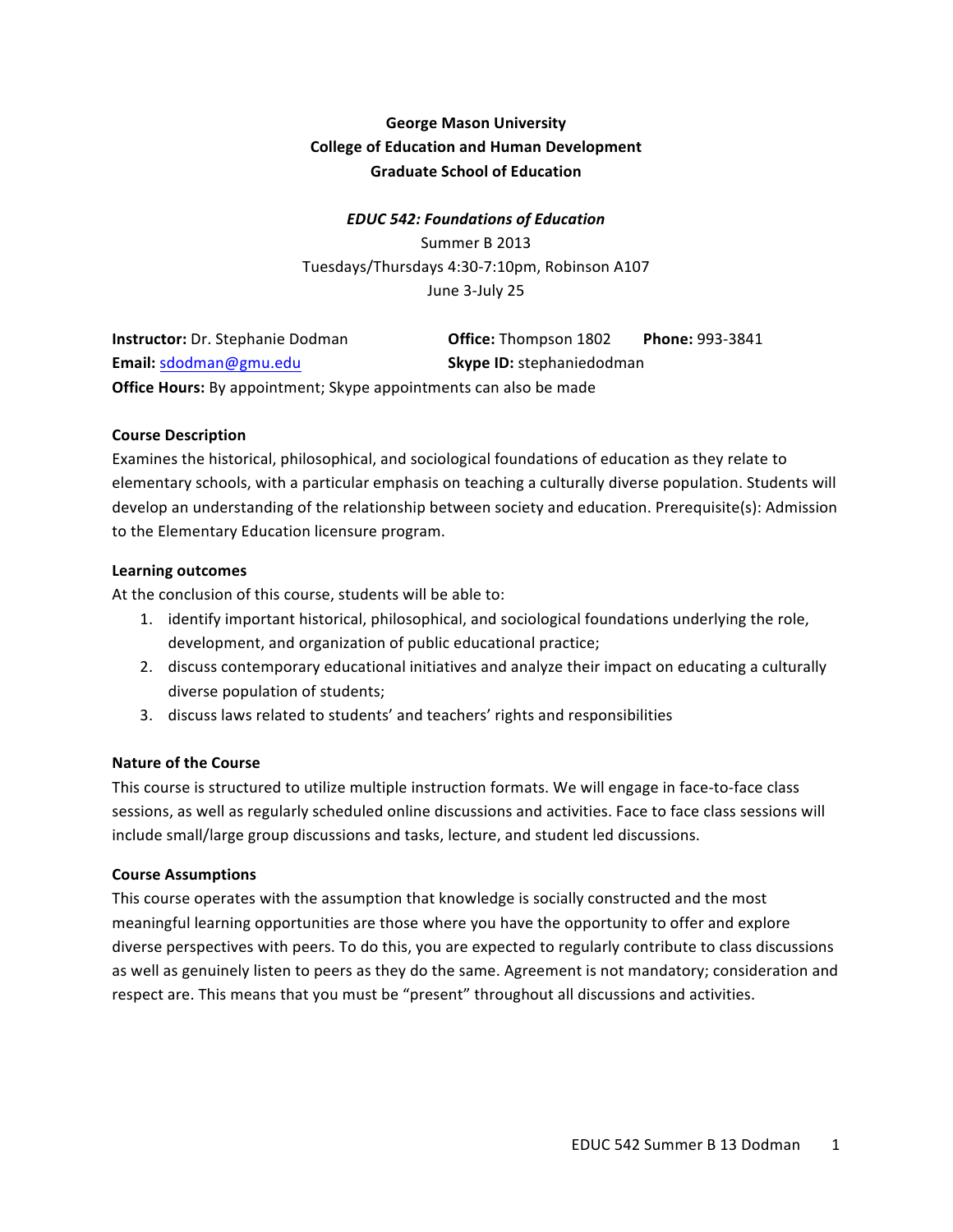# **George Mason University College of Education and Human Development Graduate School of Education**

## *EDUC 542: Foundations of Education*

Summer B 2013 Tuesdays/Thursdays 4:30-7:10pm, Robinson A107 June 3-July 25

| <b>Instructor:</b> Dr. Stephanie Dodman                                  | <b>Office:</b> Thompson 1802     | <b>Phone: 993-3841</b> |
|--------------------------------------------------------------------------|----------------------------------|------------------------|
| Email: sdodman@gmu.edu                                                   | <b>Skype ID: stephaniedodman</b> |                        |
| <b>Office Hours:</b> By appointment; Skype appointments can also be made |                                  |                        |

#### **Course Description**

Examines the historical, philosophical, and sociological foundations of education as they relate to elementary schools, with a particular emphasis on teaching a culturally diverse population. Students will develop an understanding of the relationship between society and education. Prerequisite(s): Admission to the Elementary Education licensure program.

#### **Learning outcomes**

At the conclusion of this course, students will be able to:

- 1. identify important historical, philosophical, and sociological foundations underlying the role, development, and organization of public educational practice;
- 2. discuss contemporary educational initiatives and analyze their impact on educating a culturally diverse population of students;
- 3. discuss laws related to students' and teachers' rights and responsibilities

#### **Nature of the Course**

This course is structured to utilize multiple instruction formats. We will engage in face-to-face class sessions, as well as regularly scheduled online discussions and activities. Face to face class sessions will include small/large group discussions and tasks, lecture, and student led discussions.

#### **Course Assumptions**

This course operates with the assumption that knowledge is socially constructed and the most meaningful learning opportunities are those where you have the opportunity to offer and explore diverse perspectives with peers. To do this, you are expected to regularly contribute to class discussions as well as genuinely listen to peers as they do the same. Agreement is not mandatory; consideration and respect are. This means that you must be "present" throughout all discussions and activities.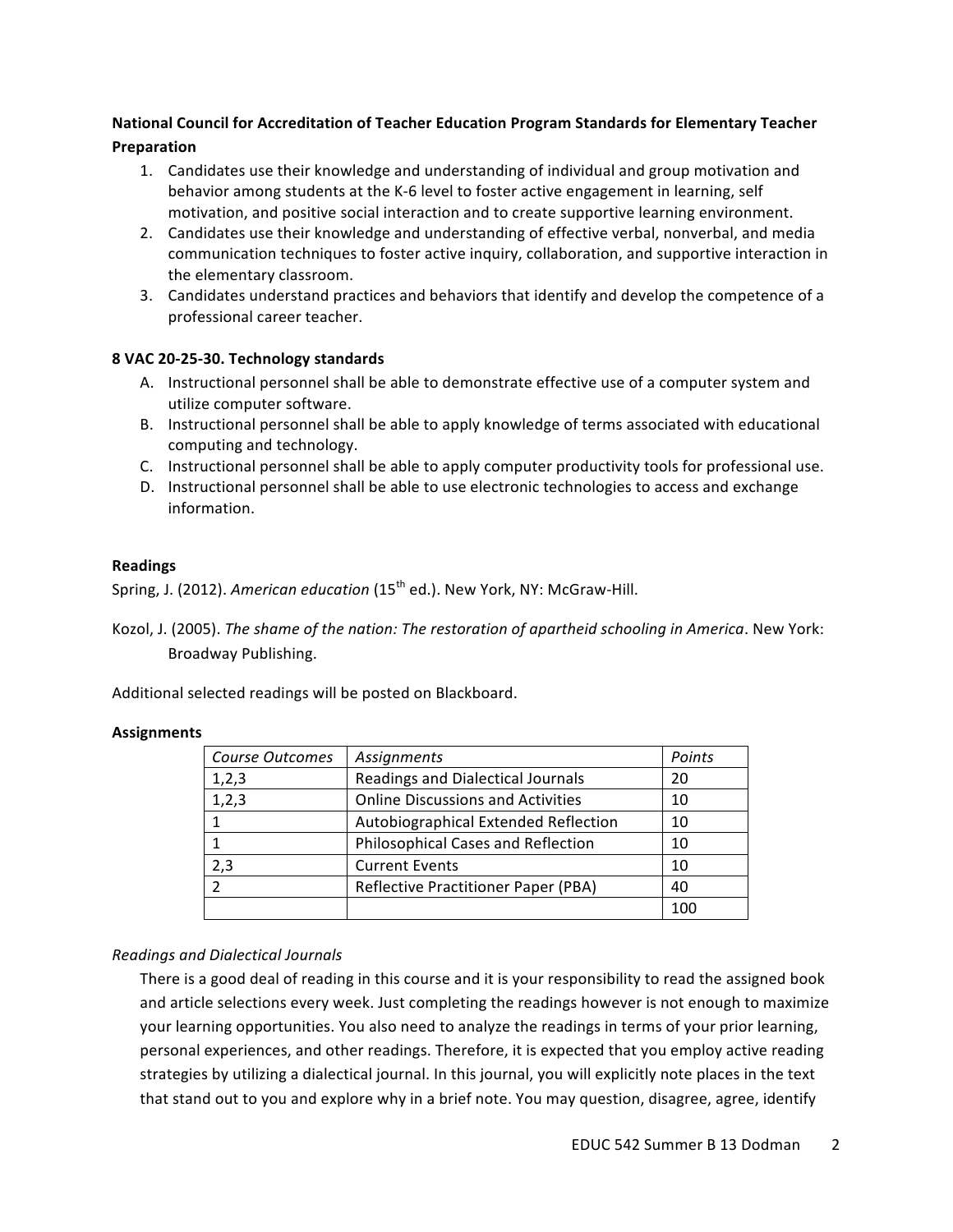## **National Council for Accreditation of Teacher Education Program Standards for Elementary Teacher Preparation**

- 1. Candidates use their knowledge and understanding of individual and group motivation and behavior among students at the K-6 level to foster active engagement in learning, self motivation, and positive social interaction and to create supportive learning environment.
- 2. Candidates use their knowledge and understanding of effective verbal, nonverbal, and media communication techniques to foster active inquiry, collaboration, and supportive interaction in the elementary classroom.
- 3. Candidates understand practices and behaviors that identify and develop the competence of a professional career teacher.

## **8 VAC 20-25-30. Technology standards**

- A. Instructional personnel shall be able to demonstrate effective use of a computer system and utilize computer software.
- B. Instructional personnel shall be able to apply knowledge of terms associated with educational computing and technology.
- C. Instructional personnel shall be able to apply computer productivity tools for professional use.
- D. Instructional personnel shall be able to use electronic technologies to access and exchange information.

#### **Readings**

Spring, J. (2012). American education (15<sup>th</sup> ed.). New York, NY: McGraw-Hill.

Kozol, J. (2005). The shame of the nation: The restoration of apartheid schooling in America. New York: Broadway Publishing.

Additional selected readings will be posted on Blackboard.

#### **Assignments**

| Course Outcomes | Assignments                              | Points |
|-----------------|------------------------------------------|--------|
| 1,2,3           | <b>Readings and Dialectical Journals</b> | 20     |
| 1,2,3           | <b>Online Discussions and Activities</b> | 10     |
|                 | Autobiographical Extended Reflection     | 10     |
|                 | Philosophical Cases and Reflection       | 10     |
| 2,3             | <b>Current Events</b>                    | 10     |
| $\mathcal{D}$   | Reflective Practitioner Paper (PBA)      | 40     |
|                 |                                          | 100    |

## *Readings and Dialectical Journals*

There is a good deal of reading in this course and it is your responsibility to read the assigned book and article selections every week. Just completing the readings however is not enough to maximize your learning opportunities. You also need to analyze the readings in terms of your prior learning, personal experiences, and other readings. Therefore, it is expected that you employ active reading strategies by utilizing a dialectical journal. In this journal, you will explicitly note places in the text that stand out to you and explore why in a brief note. You may question, disagree, agree, identify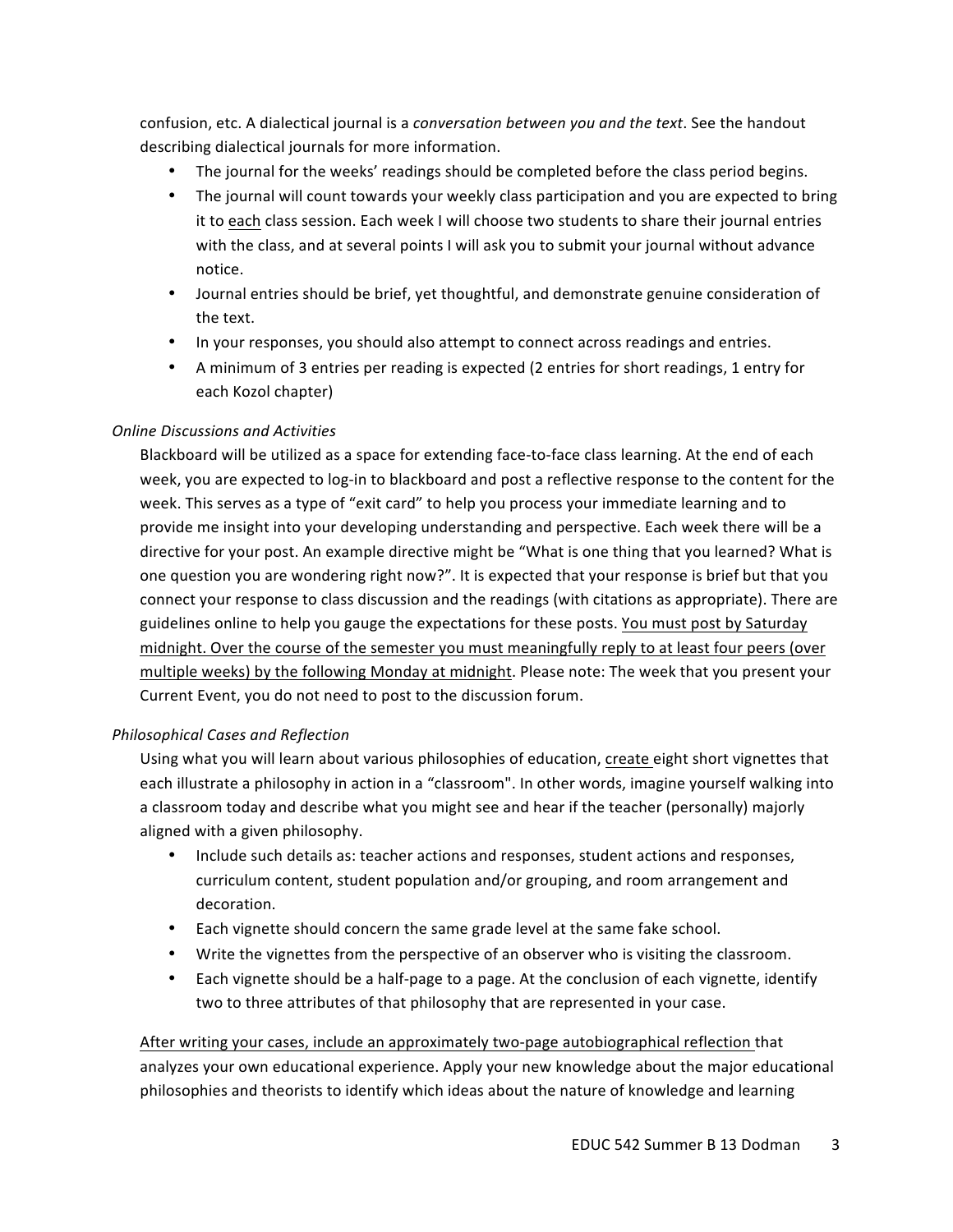confusion, etc. A dialectical journal is a *conversation between you and the text*. See the handout describing dialectical journals for more information.

- The journal for the weeks' readings should be completed before the class period begins.
- The journal will count towards your weekly class participation and you are expected to bring it to each class session. Each week I will choose two students to share their journal entries with the class, and at several points I will ask you to submit your journal without advance notice.
- Journal entries should be brief, yet thoughtful, and demonstrate genuine consideration of the text.
- In your responses, you should also attempt to connect across readings and entries.
- A minimum of 3 entries per reading is expected (2 entries for short readings, 1 entry for each Kozol chapter)

## *Online Discussions and Activities*

Blackboard will be utilized as a space for extending face-to-face class learning. At the end of each week, you are expected to log-in to blackboard and post a reflective response to the content for the week. This serves as a type of "exit card" to help you process your immediate learning and to provide me insight into your developing understanding and perspective. Each week there will be a directive for your post. An example directive might be "What is one thing that you learned? What is one question you are wondering right now?". It is expected that your response is brief but that you connect your response to class discussion and the readings (with citations as appropriate). There are guidelines online to help you gauge the expectations for these posts. You must post by Saturday midnight. Over the course of the semester you must meaningfully reply to at least four peers (over multiple weeks) by the following Monday at midnight. Please note: The week that you present your Current Event, you do not need to post to the discussion forum.

## *Philosophical Cases and Reflection*

Using what you will learn about various philosophies of education, create eight short vignettes that each illustrate a philosophy in action in a "classroom". In other words, imagine yourself walking into a classroom today and describe what you might see and hear if the teacher (personally) majorly aligned with a given philosophy.

- Include such details as: teacher actions and responses, student actions and responses, curriculum content, student population and/or grouping, and room arrangement and decoration.
- Each vignette should concern the same grade level at the same fake school.
- Write the vignettes from the perspective of an observer who is visiting the classroom.
- Each vignette should be a half-page to a page. At the conclusion of each vignette, identify two to three attributes of that philosophy that are represented in your case.

After writing your cases, include an approximately two-page autobiographical reflection that analyzes your own educational experience. Apply your new knowledge about the major educational philosophies and theorists to identify which ideas about the nature of knowledge and learning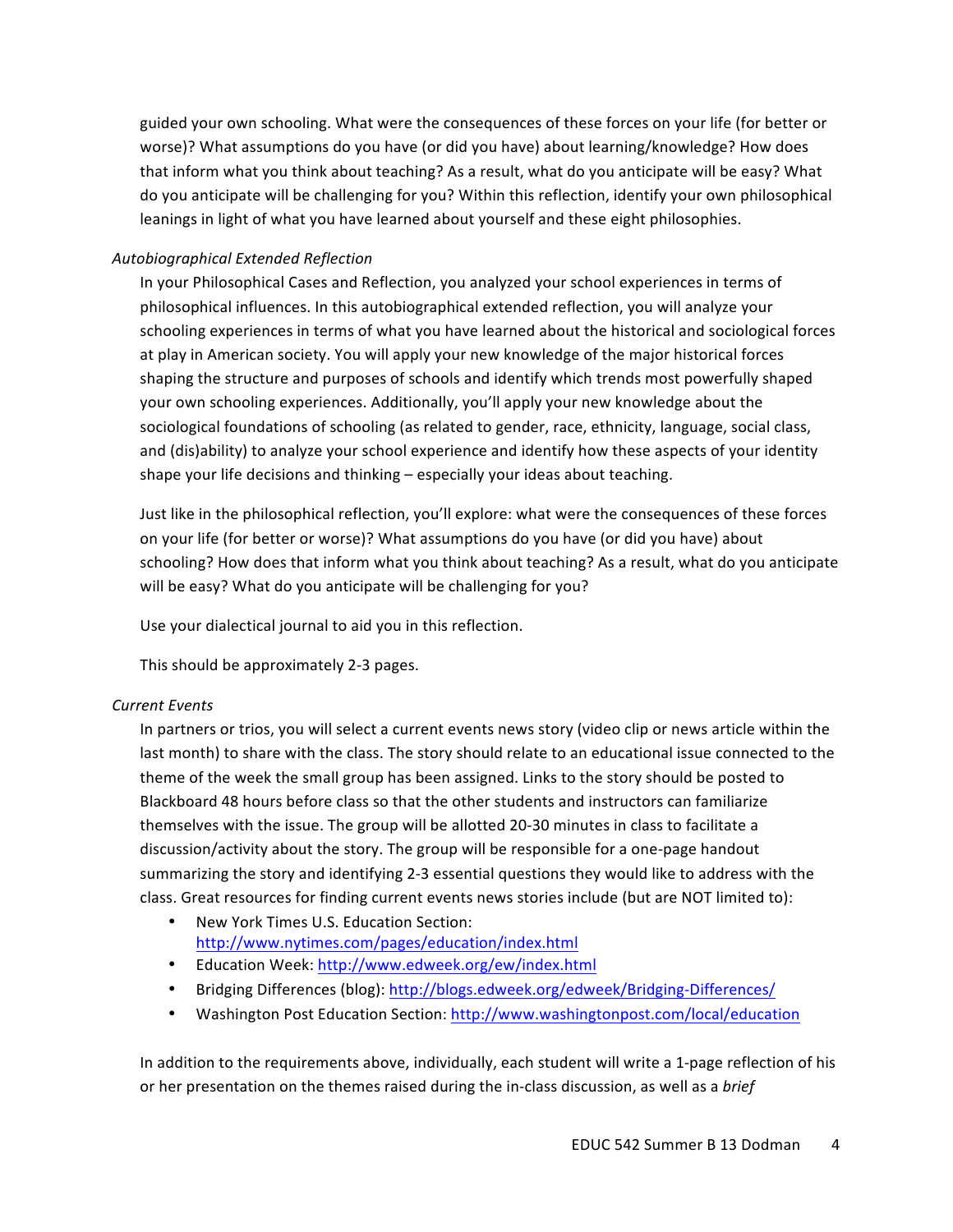guided your own schooling. What were the consequences of these forces on your life (for better or worse)? What assumptions do you have (or did you have) about learning/knowledge? How does that inform what you think about teaching? As a result, what do you anticipate will be easy? What do you anticipate will be challenging for you? Within this reflection, identify your own philosophical leanings in light of what you have learned about yourself and these eight philosophies.

### *Autobiographical Extended Reflection*

In your Philosophical Cases and Reflection, you analyzed your school experiences in terms of philosophical influences. In this autobiographical extended reflection, you will analyze your schooling experiences in terms of what you have learned about the historical and sociological forces at play in American society. You will apply your new knowledge of the major historical forces shaping the structure and purposes of schools and identify which trends most powerfully shaped your own schooling experiences. Additionally, you'll apply your new knowledge about the sociological foundations of schooling (as related to gender, race, ethnicity, language, social class, and (dis)ability) to analyze your school experience and identify how these aspects of your identity shape your life decisions and thinking - especially your ideas about teaching.

Just like in the philosophical reflection, you'll explore: what were the consequences of these forces on your life (for better or worse)? What assumptions do you have (or did you have) about schooling? How does that inform what you think about teaching? As a result, what do you anticipate will be easy? What do you anticipate will be challenging for you?

Use your dialectical journal to aid you in this reflection.

This should be approximately 2-3 pages.

#### *Current Events*

In partners or trios, you will select a current events news story (video clip or news article within the last month) to share with the class. The story should relate to an educational issue connected to the theme of the week the small group has been assigned. Links to the story should be posted to Blackboard 48 hours before class so that the other students and instructors can familiarize themselves with the issue. The group will be allotted 20-30 minutes in class to facilitate a discussion/activity about the story. The group will be responsible for a one-page handout summarizing the story and identifying 2-3 essential questions they would like to address with the class. Great resources for finding current events news stories include (but are NOT limited to):

- New York Times U.S. Education Section: http://www.nytimes.com/pages/education/index.html
- Education Week: http://www.edweek.org/ew/index.html
- Bridging Differences (blog): http://blogs.edweek.org/edweek/Bridging-Differences/
- Washington Post Education Section: http://www.washingtonpost.com/local/education

In addition to the requirements above, individually, each student will write a 1-page reflection of his or her presentation on the themes raised during the in-class discussion, as well as a *brief*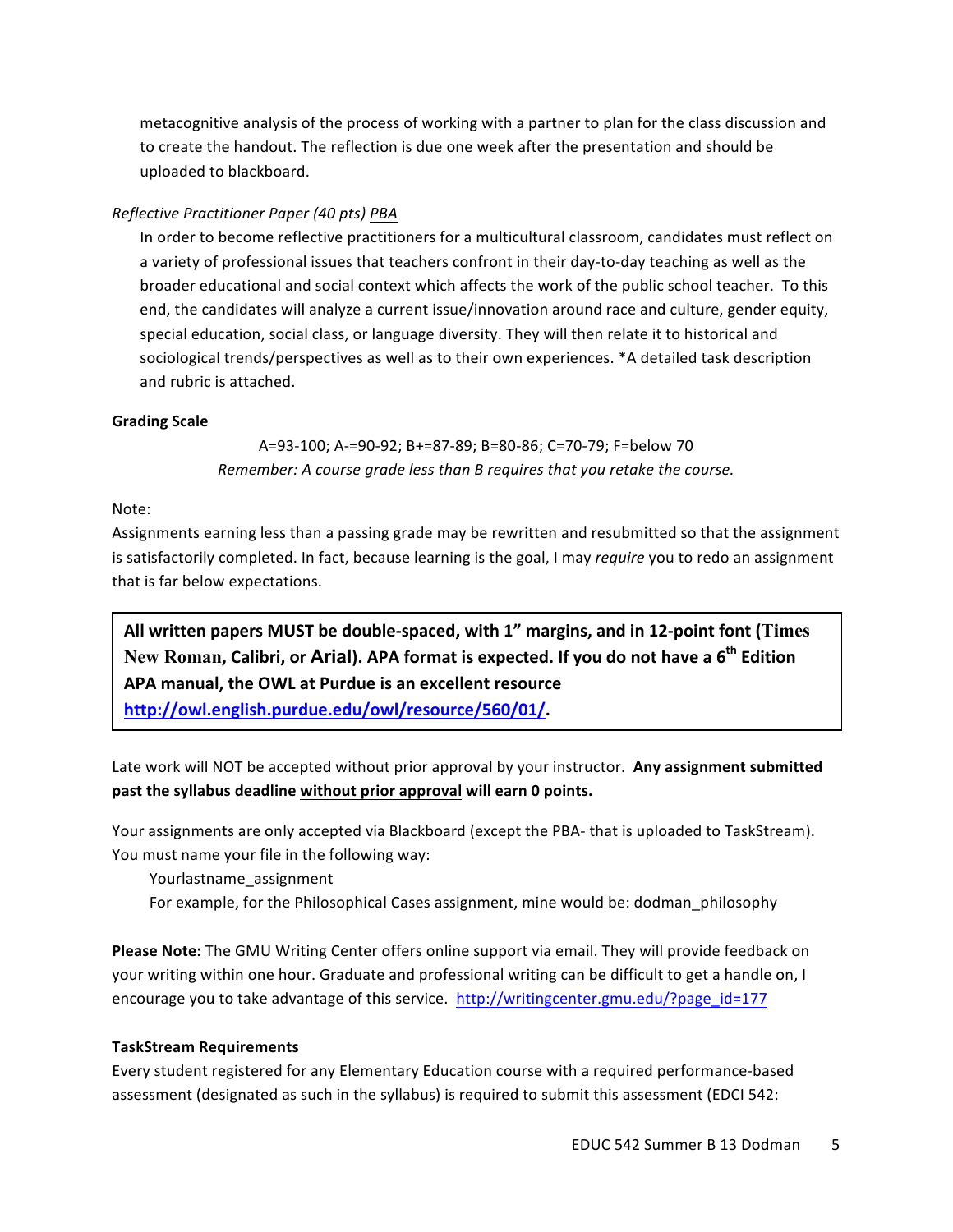metacognitive analysis of the process of working with a partner to plan for the class discussion and to create the handout. The reflection is due one week after the presentation and should be uploaded to blackboard.

## *Reflective Practitioner Paper (40 pts) PBA*

In order to become reflective practitioners for a multicultural classroom, candidates must reflect on a variety of professional issues that teachers confront in their day-to-day teaching as well as the broader educational and social context which affects the work of the public school teacher. To this end, the candidates will analyze a current issue/innovation around race and culture, gender equity, special education, social class, or language diversity. They will then relate it to historical and sociological trends/perspectives as well as to their own experiences. \*A detailed task description and rubric is attached.

## **Grading Scale**

A=93-100; A-=90-92; B+=87-89; B=80-86; C=70-79; F=below 70 *Remember:* A course grade less than B requires that you retake the course.

## Note:

Assignments earning less than a passing grade may be rewritten and resubmitted so that the assignment is satisfactorily completed. In fact, because learning is the goal, I may *require* you to redo an assignment that is far below expectations.

All written papers MUST be double-spaced, with 1" margins, and in 12-point font (Times New Roman, Calibri, or Arial). APA format is expected. If you do not have a 6<sup>th</sup> Edition APA manual, the OWL at Purdue is an excellent resource

**http://owl.english.purdue.edu/owl/resource/560/01/.**

Late work will NOT be accepted without prior approval by your instructor. Any assignment submitted past the syllabus deadline without prior approval will earn 0 points.

Your assignments are only accepted via Blackboard (except the PBA- that is uploaded to TaskStream). You must name your file in the following way:

Yourlastname\_assignment

For example, for the Philosophical Cases assignment, mine would be: dodman philosophy

**Please Note:** The GMU Writing Center offers online support via email. They will provide feedback on your writing within one hour. Graduate and professional writing can be difficult to get a handle on, I encourage you to take advantage of this service. http://writingcenter.gmu.edu/?page\_id=177

#### **TaskStream Requirements**

Every student registered for any Elementary Education course with a required performance-based assessment (designated as such in the syllabus) is required to submit this assessment (EDCI 542: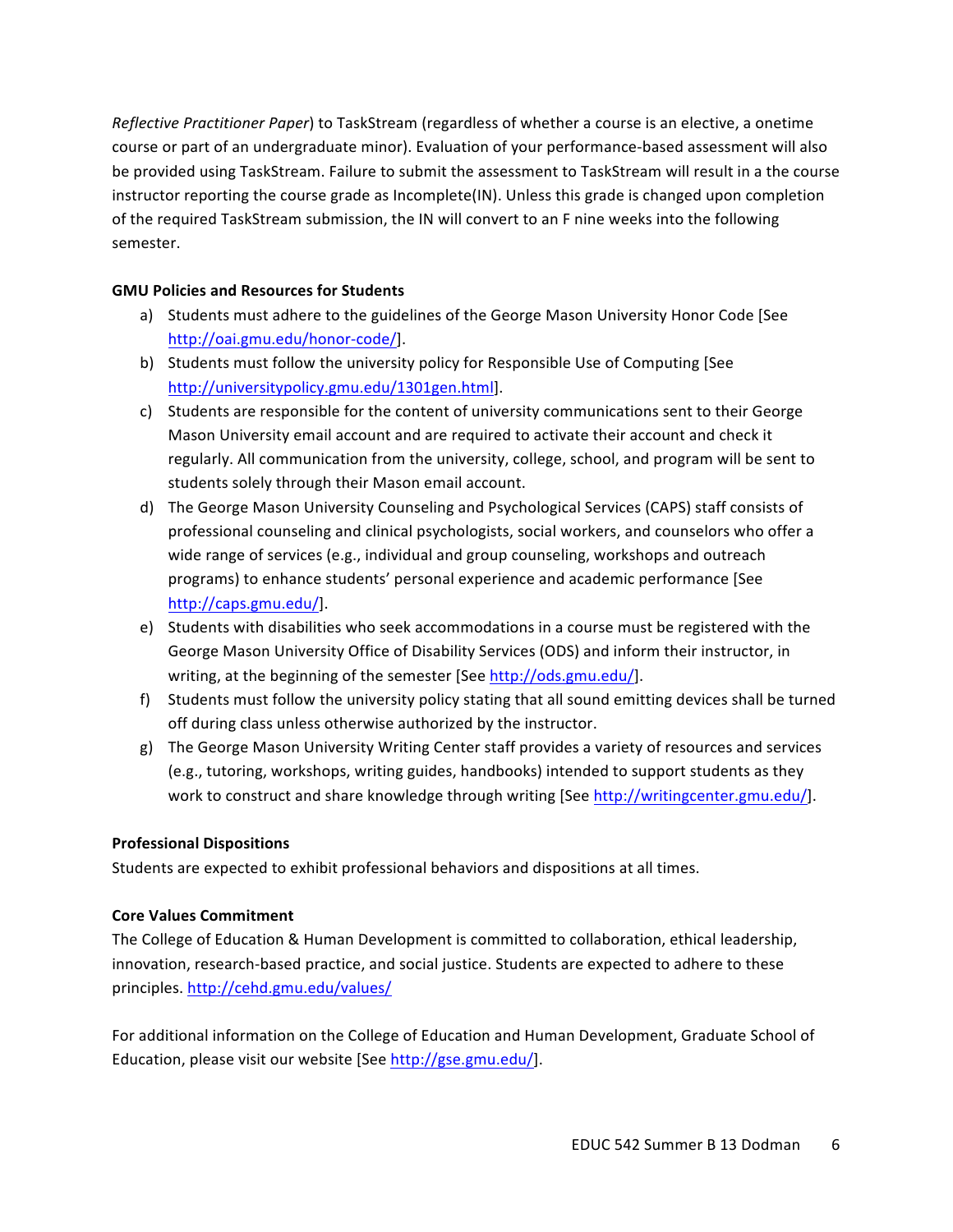*Reflective Practitioner Paper*) to TaskStream (regardless of whether a course is an elective, a onetime course or part of an undergraduate minor). Evaluation of your performance-based assessment will also be provided using TaskStream. Failure to submit the assessment to TaskStream will result in a the course instructor reporting the course grade as Incomplete(IN). Unless this grade is changed upon completion of the required TaskStream submission, the IN will convert to an F nine weeks into the following semester.

## **GMU Policies and Resources for Students**

- a) Students must adhere to the guidelines of the George Mason University Honor Code [See http://oai.gmu.edu/honor-code/].
- b) Students must follow the university policy for Responsible Use of Computing [See http://universitypolicy.gmu.edu/1301gen.html].
- c) Students are responsible for the content of university communications sent to their George Mason University email account and are required to activate their account and check it regularly. All communication from the university, college, school, and program will be sent to students solely through their Mason email account.
- d) The George Mason University Counseling and Psychological Services (CAPS) staff consists of professional counseling and clinical psychologists, social workers, and counselors who offer a wide range of services (e.g., individual and group counseling, workshops and outreach programs) to enhance students' personal experience and academic performance [See http://caps.gmu.edu/].
- e) Students with disabilities who seek accommodations in a course must be registered with the George Mason University Office of Disability Services (ODS) and inform their instructor, in writing, at the beginning of the semester [See http://ods.gmu.edu/].
- f) Students must follow the university policy stating that all sound emitting devices shall be turned off during class unless otherwise authorized by the instructor.
- g) The George Mason University Writing Center staff provides a variety of resources and services (e.g., tutoring, workshops, writing guides, handbooks) intended to support students as they work to construct and share knowledge through writing [See http://writingcenter.gmu.edu/].

## **Professional Dispositions**

Students are expected to exhibit professional behaviors and dispositions at all times.

## **Core Values Commitment**

The College of Education & Human Development is committed to collaboration, ethical leadership, innovation, research-based practice, and social justice. Students are expected to adhere to these principles. http://cehd.gmu.edu/values/

For additional information on the College of Education and Human Development, Graduate School of Education, please visit our website [See http://gse.gmu.edu/].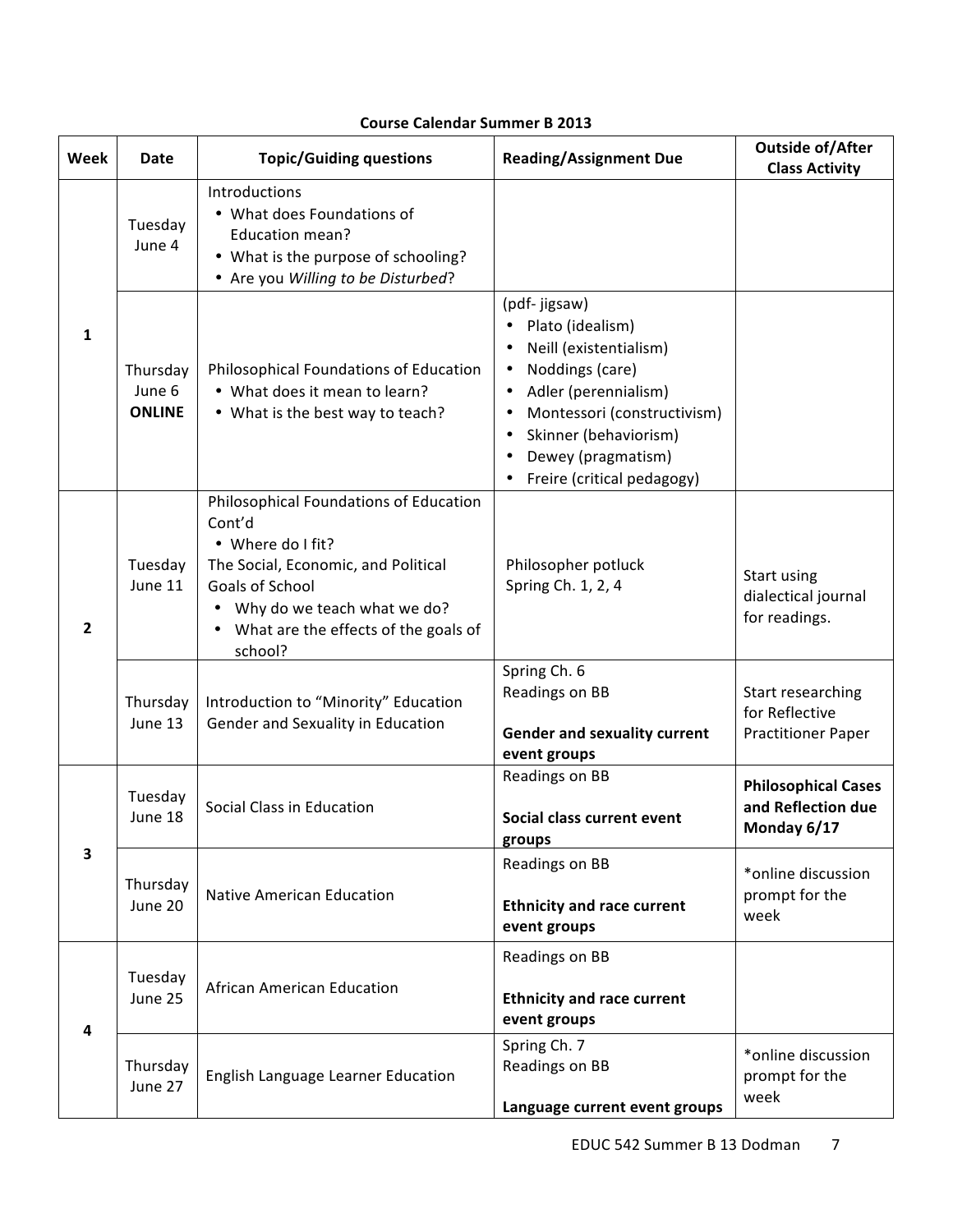## **Course Calendar Summer B 2013**

| Week           | <b>Date</b>                         | <b>Topic/Guiding questions</b>                                                                                                                                                                                        | <b>Reading/Assignment Due</b>                                                                                                                                                                                                                                                         | <b>Outside of/After</b><br><b>Class Activity</b>                 |
|----------------|-------------------------------------|-----------------------------------------------------------------------------------------------------------------------------------------------------------------------------------------------------------------------|---------------------------------------------------------------------------------------------------------------------------------------------------------------------------------------------------------------------------------------------------------------------------------------|------------------------------------------------------------------|
|                | Tuesday<br>June 4                   | Introductions<br>• What does Foundations of<br>Education mean?<br>• What is the purpose of schooling?<br>• Are you Willing to be Disturbed?                                                                           |                                                                                                                                                                                                                                                                                       |                                                                  |
| $\mathbf{1}$   | Thursday<br>June 6<br><b>ONLINE</b> | Philosophical Foundations of Education<br>• What does it mean to learn?<br>• What is the best way to teach?                                                                                                           | (pdf- jigsaw)<br>Plato (idealism)<br>Neill (existentialism)<br>٠<br>Noddings (care)<br>٠<br>Adler (perennialism)<br>$\bullet$<br>Montessori (constructivism)<br>$\bullet$<br>Skinner (behaviorism)<br>$\bullet$<br>Dewey (pragmatism)<br>$\bullet$<br>Freire (critical pedagogy)<br>٠ |                                                                  |
| $\overline{2}$ | Tuesday<br>June 11                  | Philosophical Foundations of Education<br>Cont'd<br>• Where do I fit?<br>The Social, Economic, and Political<br>Goals of School<br>• Why do we teach what we do?<br>• What are the effects of the goals of<br>school? | Philosopher potluck<br>Spring Ch. 1, 2, 4                                                                                                                                                                                                                                             | Start using<br>dialectical journal<br>for readings.              |
|                | Thursday<br>June 13                 | Introduction to "Minority" Education<br>Gender and Sexuality in Education                                                                                                                                             | Spring Ch. 6<br>Readings on BB<br><b>Gender and sexuality current</b><br>event groups                                                                                                                                                                                                 | Start researching<br>for Reflective<br><b>Practitioner Paper</b> |
|                | Tuesday<br>June 18                  | Social Class in Education                                                                                                                                                                                             | Readings on BB<br>Social class current event<br>groups                                                                                                                                                                                                                                | <b>Philosophical Cases</b><br>and Reflection due<br>Monday 6/17  |
| 3              | Thursday<br>June 20                 | <b>Native American Education</b>                                                                                                                                                                                      | Readings on BB<br><b>Ethnicity and race current</b><br>event groups                                                                                                                                                                                                                   | *online discussion<br>prompt for the<br>week                     |
| 4              | Tuesday<br>June 25                  | African American Education                                                                                                                                                                                            | Readings on BB<br><b>Ethnicity and race current</b><br>event groups                                                                                                                                                                                                                   |                                                                  |
|                | Thursday<br>June 27                 | English Language Learner Education                                                                                                                                                                                    | Spring Ch. 7<br>Readings on BB<br>Language current event groups                                                                                                                                                                                                                       | *online discussion<br>prompt for the<br>week                     |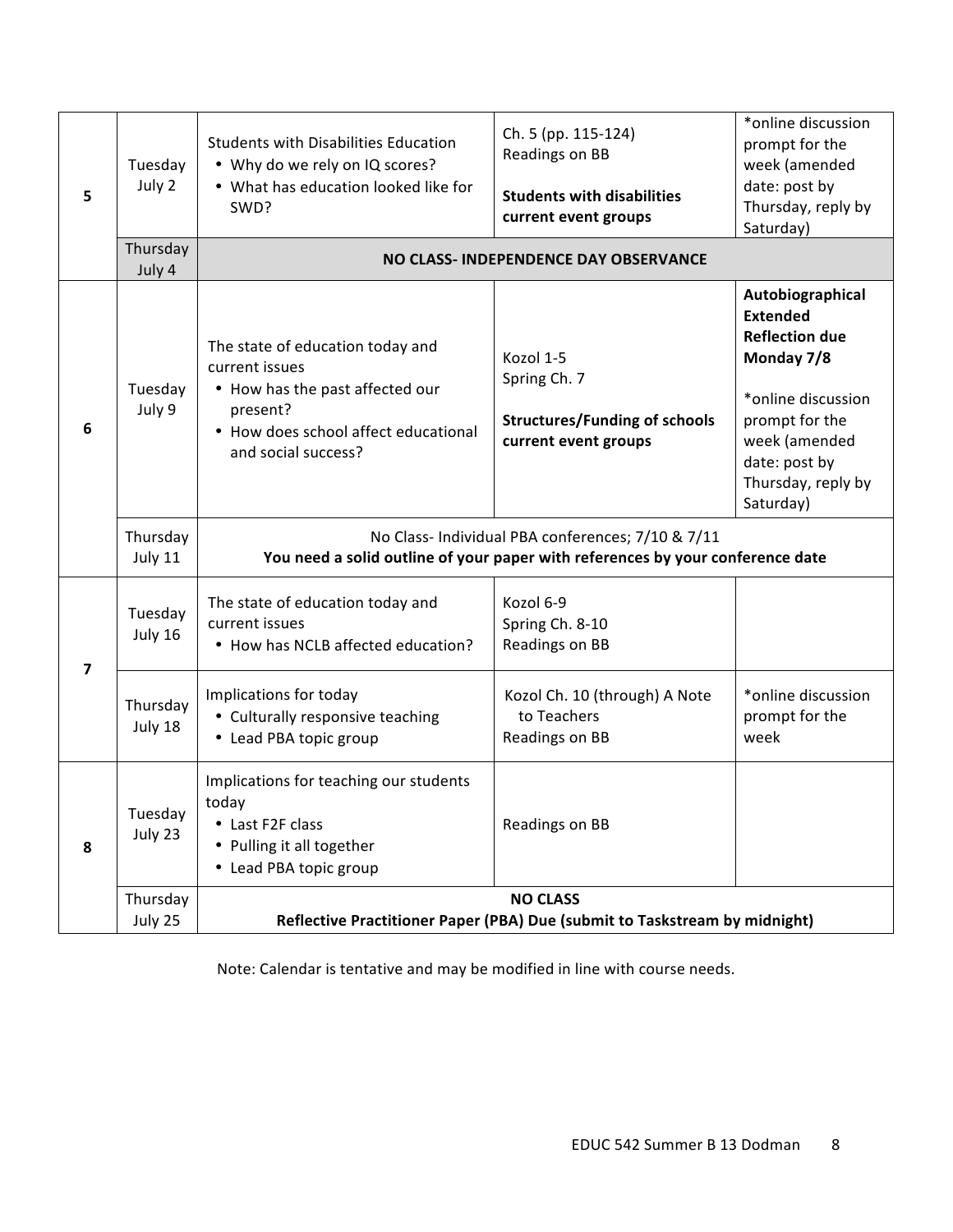| 5                       | Tuesday<br>July 2<br>Thursday<br>July 4 | Students with Disabilities Education<br>• Why do we rely on IQ scores?<br>• What has education looked like for<br>SWD?                                           | Ch. 5 (pp. 115-124)<br>Readings on BB<br><b>Students with disabilities</b><br>current event groups<br>NO CLASS- INDEPENDENCE DAY OBSERVANCE | *online discussion<br>prompt for the<br>week (amended<br>date: post by<br>Thursday, reply by<br>Saturday)                                                                               |
|-------------------------|-----------------------------------------|------------------------------------------------------------------------------------------------------------------------------------------------------------------|---------------------------------------------------------------------------------------------------------------------------------------------|-----------------------------------------------------------------------------------------------------------------------------------------------------------------------------------------|
| 6                       | Tuesday<br>July 9                       | The state of education today and<br>current issues<br>• How has the past affected our<br>present?<br>• How does school affect educational<br>and social success? | Kozol 1-5<br>Spring Ch. 7<br><b>Structures/Funding of schools</b><br>current event groups                                                   | Autobiographical<br><b>Extended</b><br><b>Reflection due</b><br>Monday 7/8<br>*online discussion<br>prompt for the<br>week (amended<br>date: post by<br>Thursday, reply by<br>Saturday) |
|                         | Thursday<br>July 11                     | No Class- Individual PBA conferences; 7/10 & 7/11<br>You need a solid outline of your paper with references by your conference date                              |                                                                                                                                             |                                                                                                                                                                                         |
| $\overline{\mathbf{z}}$ | Tuesday<br>July 16                      | The state of education today and<br>current issues<br>• How has NCLB affected education?                                                                         | Kozol 6-9<br>Spring Ch. 8-10<br>Readings on BB                                                                                              |                                                                                                                                                                                         |
|                         | Thursday<br>July 18                     | Implications for today<br>• Culturally responsive teaching<br>• Lead PBA topic group                                                                             | Kozol Ch. 10 (through) A Note<br>to Teachers<br>Readings on BB                                                                              | *online discussion<br>prompt for the<br>week                                                                                                                                            |
| 8                       | Tuesday<br>July 23                      | Implications for teaching our students<br>today<br>• Last F2F class<br>• Pulling it all together<br>• Lead PBA topic group                                       | Readings on BB<br><b>NO CLASS</b>                                                                                                           |                                                                                                                                                                                         |
|                         | Thursday<br>July 25                     | Reflective Practitioner Paper (PBA) Due (submit to Taskstream by midnight)                                                                                       |                                                                                                                                             |                                                                                                                                                                                         |

Note: Calendar is tentative and may be modified in line with course needs.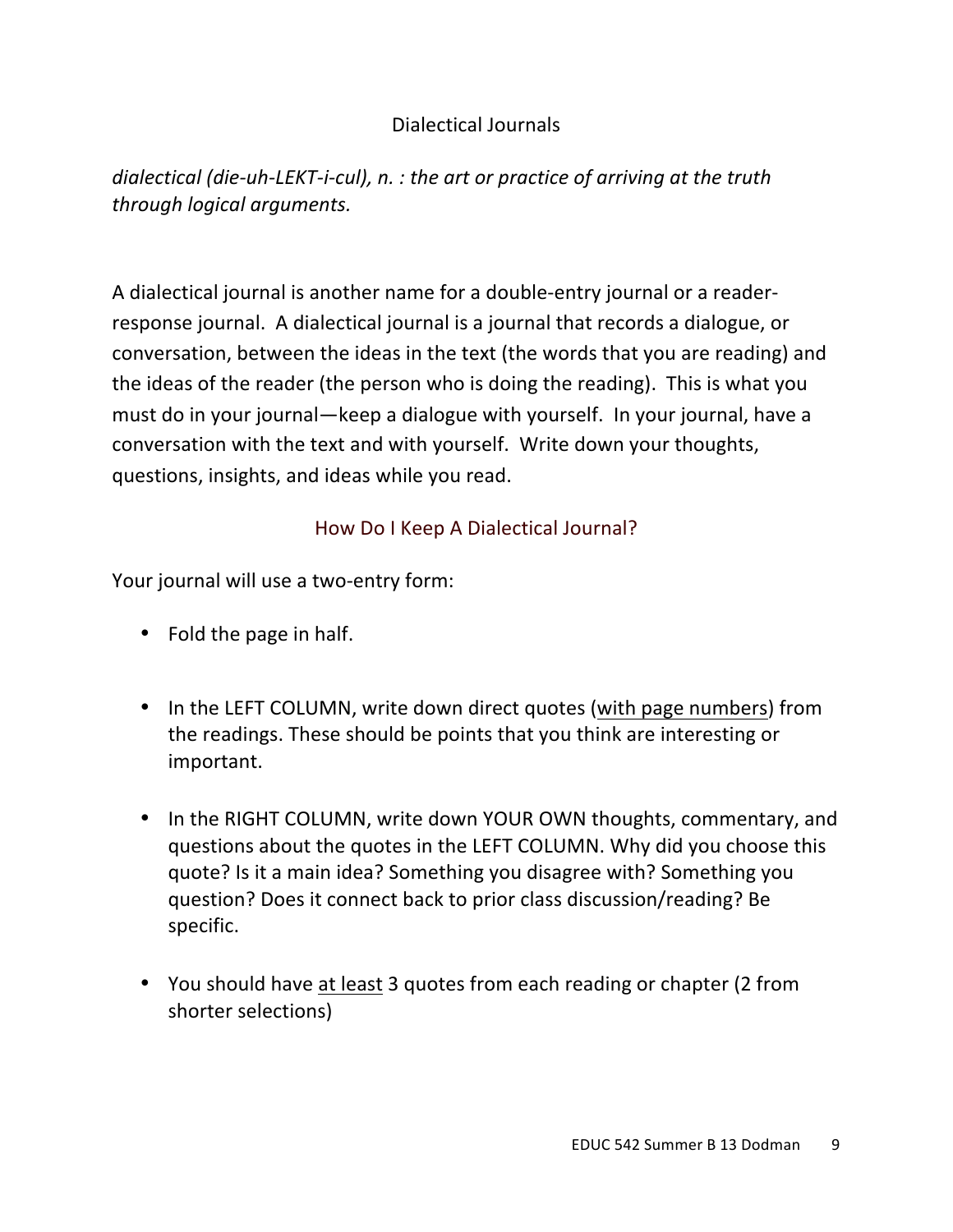# Dialectical Journals

*dialectical (die-uh-LEKT-i-cul), n. : the art or practice of arriving at the truth through logical arguments.* 

A dialectical journal is another name for a double-entry journal or a readerresponse journal. A dialectical journal is a journal that records a dialogue, or conversation, between the ideas in the text (the words that you are reading) and the ideas of the reader (the person who is doing the reading). This is what you must do in your journal—keep a dialogue with yourself. In your journal, have a conversation with the text and with yourself. Write down your thoughts, questions, insights, and ideas while you read.

# How Do I Keep A Dialectical Journal?

Your journal will use a two-entry form:

- $\bullet$  Fold the page in half.
- In the LEFT COLUMN, write down direct quotes (with page numbers) from the readings. These should be points that you think are interesting or important.
- In the RIGHT COLUMN, write down YOUR OWN thoughts, commentary, and questions about the quotes in the LEFT COLUMN. Why did you choose this quote? Is it a main idea? Something you disagree with? Something you question? Does it connect back to prior class discussion/reading? Be specific.
- You should have at least 3 quotes from each reading or chapter (2 from shorter selections)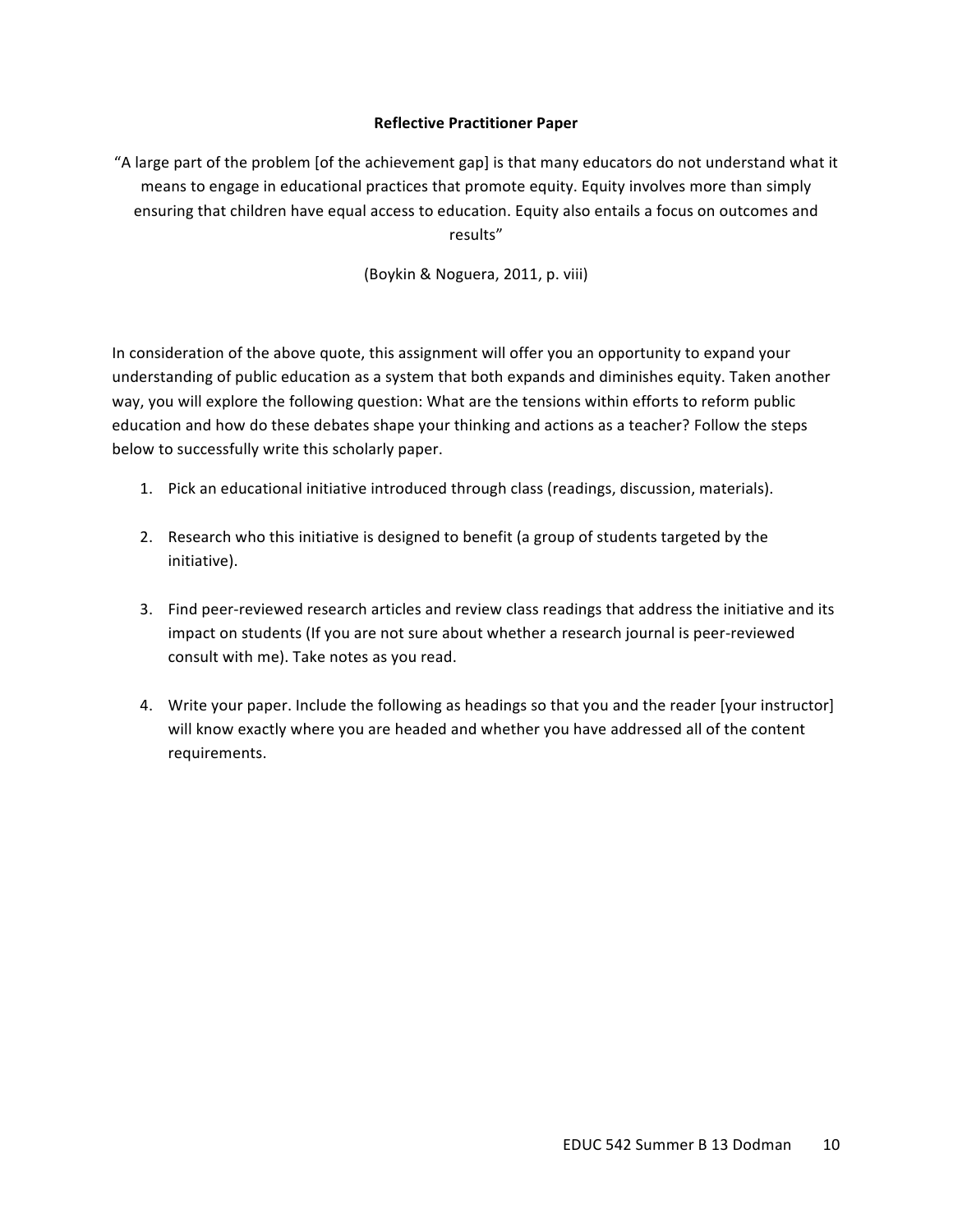### **Reflective Practitioner Paper**

"A large part of the problem [of the achievement gap] is that many educators do not understand what it means to engage in educational practices that promote equity. Equity involves more than simply ensuring that children have equal access to education. Equity also entails a focus on outcomes and results" 

(Boykin & Noguera, 2011, p. viii)

In consideration of the above quote, this assignment will offer you an opportunity to expand your understanding of public education as a system that both expands and diminishes equity. Taken another way, you will explore the following question: What are the tensions within efforts to reform public education and how do these debates shape your thinking and actions as a teacher? Follow the steps below to successfully write this scholarly paper.

- 1. Pick an educational initiative introduced through class (readings, discussion, materials).
- 2. Research who this initiative is designed to benefit (a group of students targeted by the initiative).
- 3. Find peer-reviewed research articles and review class readings that address the initiative and its impact on students (If you are not sure about whether a research journal is peer-reviewed consult with me). Take notes as you read.
- 4. Write your paper. Include the following as headings so that you and the reader [your instructor] will know exactly where you are headed and whether you have addressed all of the content requirements.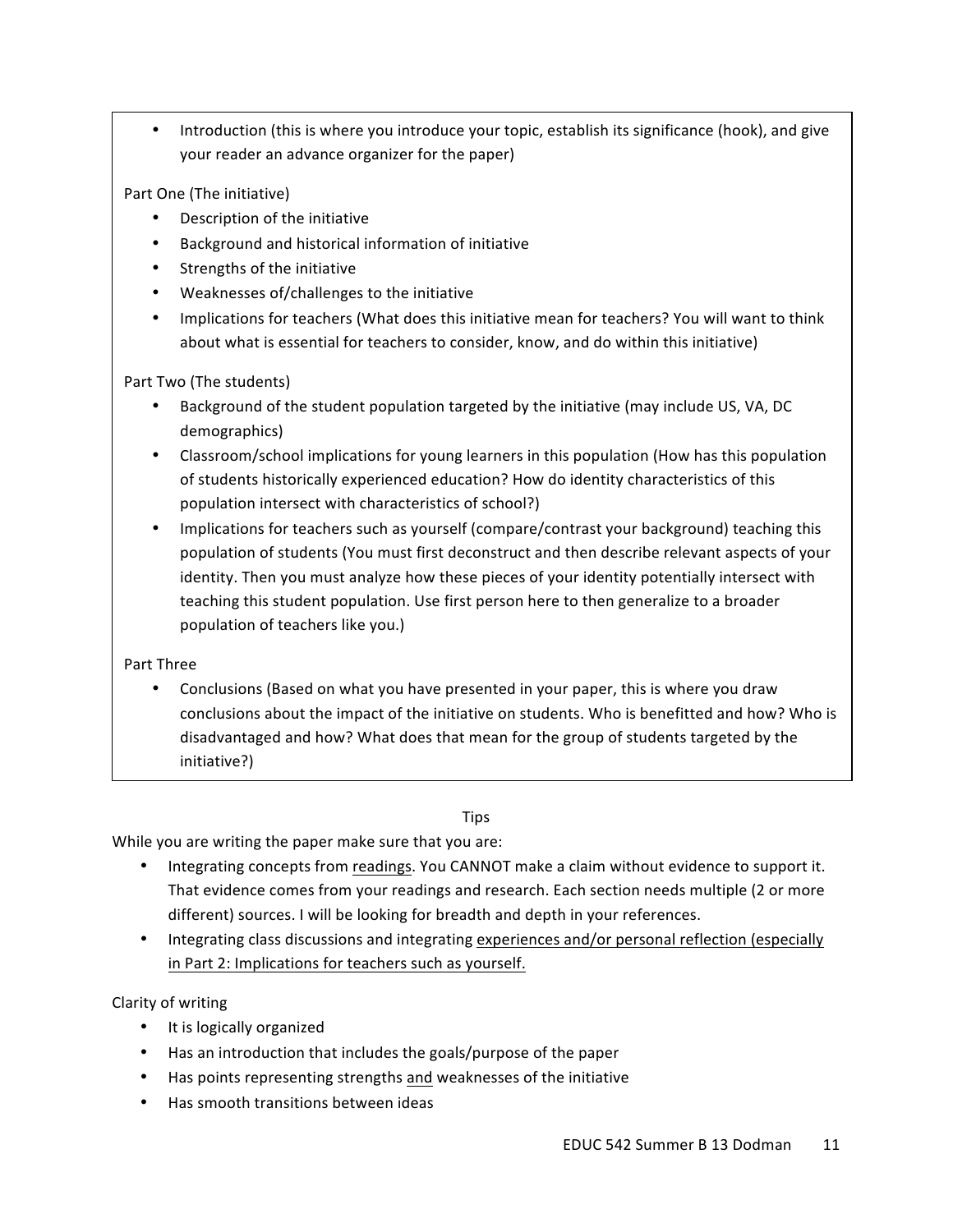Introduction (this is where you introduce your topic, establish its significance (hook), and give your reader an advance organizer for the paper)

Part One (The initiative)

- Description of the initiative
- Background and historical information of initiative
- Strengths of the initiative
- Weaknesses of/challenges to the initiative
- Implications for teachers (What does this initiative mean for teachers? You will want to think about what is essential for teachers to consider, know, and do within this initiative)

Part Two (The students)

- Background of the student population targeted by the initiative (may include US, VA, DC demographics)
- Classroom/school implications for young learners in this population (How has this population of students historically experienced education? How do identity characteristics of this population intersect with characteristics of school?)
- Implications for teachers such as yourself (compare/contrast your background) teaching this population of students (You must first deconstruct and then describe relevant aspects of your identity. Then you must analyze how these pieces of your identity potentially intersect with teaching this student population. Use first person here to then generalize to a broader population of teachers like you.)

Part Three

Conclusions (Based on what you have presented in your paper, this is where you draw conclusions about the impact of the initiative on students. Who is benefitted and how? Who is disadvantaged and how? What does that mean for the group of students targeted by the initiative?) 

# **Tips**

While you are writing the paper make sure that you are:

- Integrating concepts from readings. You CANNOT make a claim without evidence to support it. That evidence comes from your readings and research. Each section needs multiple (2 or more different) sources. I will be looking for breadth and depth in your references.
- Integrating class discussions and integrating experiences and/or personal reflection (especially in Part 2: Implications for teachers such as yourself.

Clarity of writing

- It is logically organized
- Has an introduction that includes the goals/purpose of the paper
- Has points representing strengths and weaknesses of the initiative
- Has smooth transitions between ideas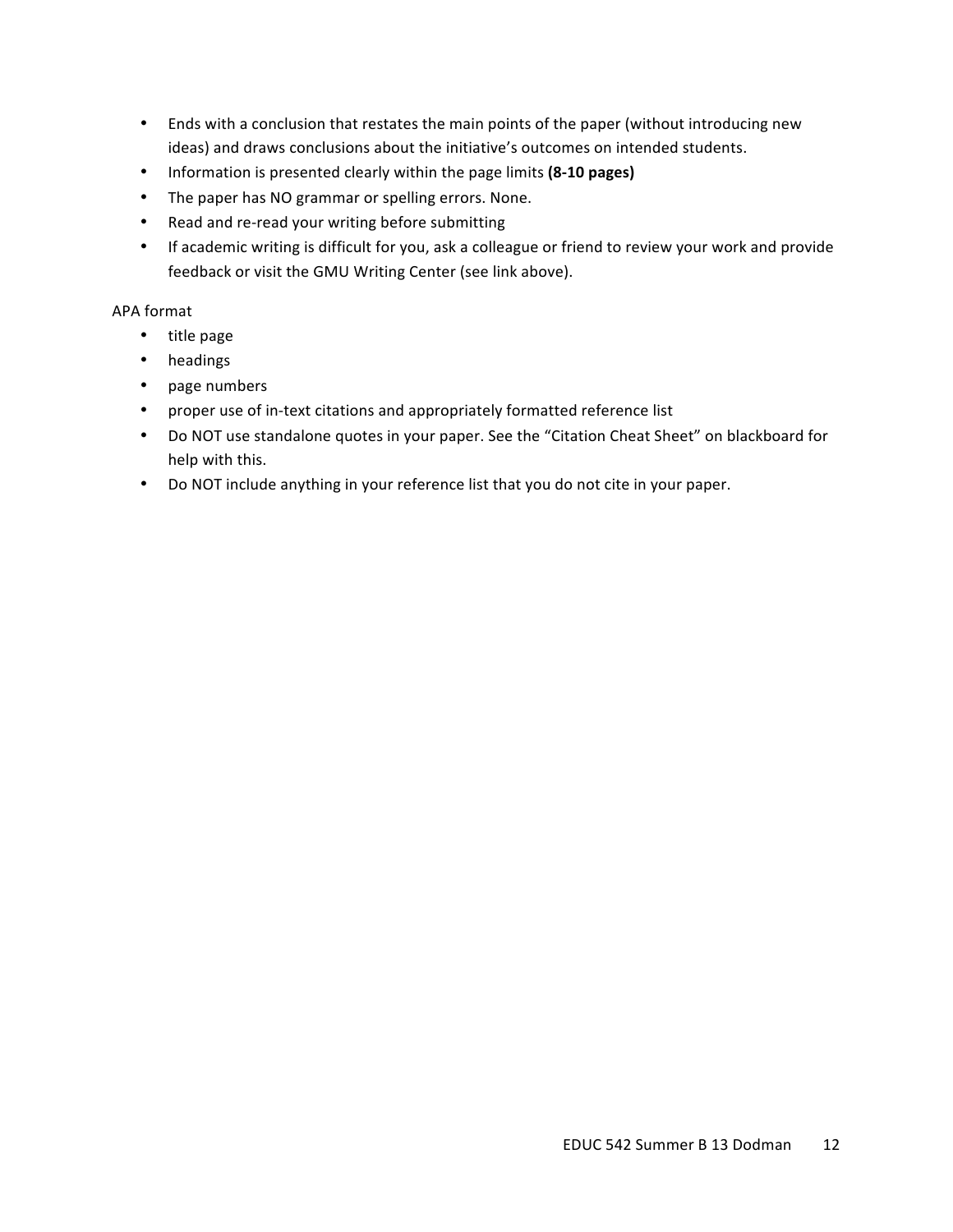- Ends with a conclusion that restates the main points of the paper (without introducing new ideas) and draws conclusions about the initiative's outcomes on intended students.
- Information is presented clearly within the page limits (8-10 pages)
- The paper has NO grammar or spelling errors. None.
- Read and re-read your writing before submitting
- If academic writing is difficult for you, ask a colleague or friend to review your work and provide feedback or visit the GMU Writing Center (see link above).

### APA format

- title page
- headings
- page numbers
- proper use of in-text citations and appropriately formatted reference list
- Do NOT use standalone quotes in your paper. See the "Citation Cheat Sheet" on blackboard for help with this.
- Do NOT include anything in your reference list that you do not cite in your paper.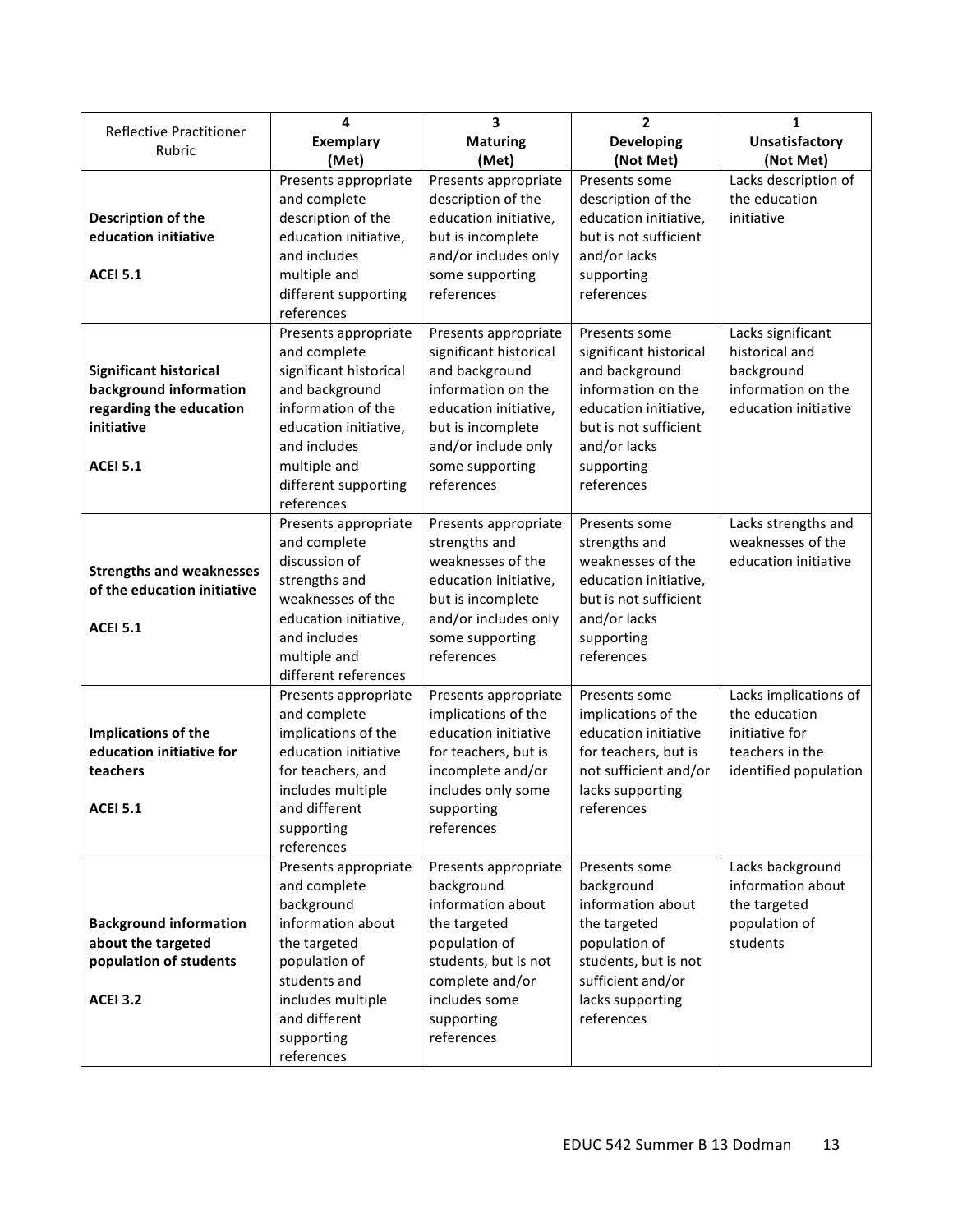|                                          | 4                            | 3                             | $\overline{2}$           | 1                     |
|------------------------------------------|------------------------------|-------------------------------|--------------------------|-----------------------|
| <b>Reflective Practitioner</b><br>Rubric | <b>Exemplary</b>             | <b>Maturing</b>               | <b>Developing</b>        | <b>Unsatisfactory</b> |
|                                          | (Met)                        | (Met)                         | (Not Met)                | (Not Met)             |
|                                          | Presents appropriate         | Presents appropriate          | Presents some            | Lacks description of  |
|                                          | and complete                 | description of the            | description of the       | the education         |
| Description of the                       | description of the           | education initiative,         | education initiative,    | initiative            |
| education initiative                     | education initiative,        | but is incomplete             | but is not sufficient    |                       |
|                                          | and includes                 | and/or includes only          | and/or lacks             |                       |
| <b>ACEI 5.1</b>                          | multiple and                 | some supporting               | supporting               |                       |
|                                          | different supporting         | references                    | references               |                       |
|                                          | references                   |                               |                          |                       |
|                                          | Presents appropriate         | Presents appropriate          | Presents some            | Lacks significant     |
|                                          | and complete                 | significant historical        | significant historical   | historical and        |
| <b>Significant historical</b>            | significant historical       | and background                | and background           | background            |
| background information                   | and background               | information on the            | information on the       | information on the    |
| regarding the education                  | information of the           | education initiative,         | education initiative,    | education initiative  |
| initiative                               | education initiative,        | but is incomplete             | but is not sufficient    |                       |
|                                          | and includes                 | and/or include only           | and/or lacks             |                       |
| <b>ACEI 5.1</b>                          | multiple and                 | some supporting               | supporting               |                       |
|                                          | different supporting         | references                    | references               |                       |
|                                          | references                   |                               |                          |                       |
|                                          | Presents appropriate         | Presents appropriate          | Presents some            | Lacks strengths and   |
|                                          | and complete                 | strengths and                 | strengths and            | weaknesses of the     |
| <b>Strengths and weaknesses</b>          | discussion of                | weaknesses of the             | weaknesses of the        | education initiative  |
| of the education initiative              | strengths and                | education initiative,         | education initiative,    |                       |
|                                          | weaknesses of the            | but is incomplete             | but is not sufficient    |                       |
| <b>ACEI 5.1</b>                          | education initiative,        | and/or includes only          | and/or lacks             |                       |
|                                          | and includes<br>multiple and | some supporting<br>references | supporting<br>references |                       |
|                                          | different references         |                               |                          |                       |
|                                          | Presents appropriate         | Presents appropriate          | Presents some            | Lacks implications of |
|                                          | and complete                 | implications of the           | implications of the      | the education         |
| Implications of the                      | implications of the          | education initiative          | education initiative     | initiative for        |
| education initiative for                 | education initiative         | for teachers, but is          | for teachers, but is     | teachers in the       |
| teachers                                 | for teachers, and            | incomplete and/or             | not sufficient and/or    | identified population |
|                                          | includes multiple            | includes only some            | lacks supporting         |                       |
| <b>ACEI 5.1</b>                          | and different                | supporting                    | references               |                       |
|                                          | supporting                   | references                    |                          |                       |
|                                          | references                   |                               |                          |                       |
|                                          | Presents appropriate         | Presents appropriate          | Presents some            | Lacks background      |
|                                          | and complete                 | background                    | background               | information about     |
|                                          | background                   | information about             | information about        | the targeted          |
| <b>Background information</b>            | information about            | the targeted                  | the targeted             | population of         |
| about the targeted                       | the targeted                 | population of                 | population of            | students              |
| population of students                   | population of                | students, but is not          | students, but is not     |                       |
|                                          | students and                 | complete and/or               | sufficient and/or        |                       |
| <b>ACEI 3.2</b>                          | includes multiple            | includes some                 | lacks supporting         |                       |
|                                          | and different                | supporting                    | references               |                       |
|                                          | supporting                   | references                    |                          |                       |
|                                          | references                   |                               |                          |                       |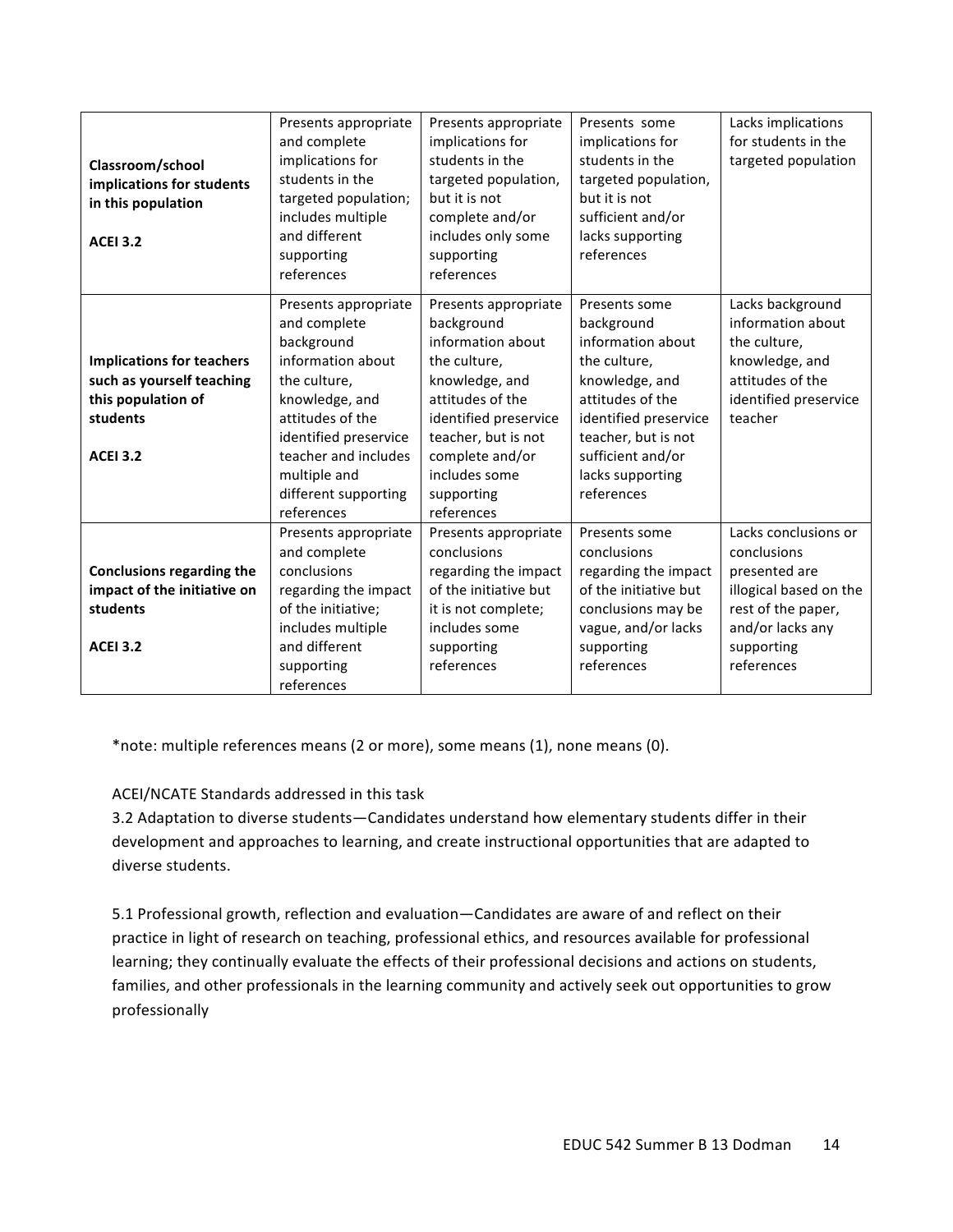|                                  | Presents appropriate  | Presents appropriate  | Presents some         | Lacks implications     |
|----------------------------------|-----------------------|-----------------------|-----------------------|------------------------|
|                                  | and complete          | implications for      | implications for      | for students in the    |
| Classroom/school                 | implications for      | students in the       | students in the       | targeted population    |
| implications for students        | students in the       | targeted population,  | targeted population,  |                        |
| in this population               | targeted population;  | but it is not         | but it is not         |                        |
|                                  | includes multiple     | complete and/or       | sufficient and/or     |                        |
| <b>ACEI 3.2</b>                  | and different         | includes only some    | lacks supporting      |                        |
|                                  | supporting            | supporting            | references            |                        |
|                                  | references            | references            |                       |                        |
|                                  | Presents appropriate  | Presents appropriate  | Presents some         | Lacks background       |
|                                  | and complete          | background            | background            | information about      |
|                                  | background            | information about     | information about     | the culture,           |
| <b>Implications for teachers</b> | information about     | the culture,          | the culture,          | knowledge, and         |
| such as yourself teaching        | the culture,          | knowledge, and        | knowledge, and        | attitudes of the       |
| this population of               | knowledge, and        | attitudes of the      | attitudes of the      | identified preservice  |
| students                         | attitudes of the      | identified preservice | identified preservice | teacher                |
|                                  | identified preservice | teacher, but is not   | teacher, but is not   |                        |
| <b>ACEI 3.2</b>                  | teacher and includes  | complete and/or       | sufficient and/or     |                        |
|                                  | multiple and          | includes some         | lacks supporting      |                        |
|                                  | different supporting  | supporting            | references            |                        |
|                                  | references            | references            |                       |                        |
|                                  | Presents appropriate  | Presents appropriate  | Presents some         | Lacks conclusions or   |
|                                  | and complete          | conclusions           | conclusions           | conclusions            |
| <b>Conclusions regarding the</b> | conclusions           | regarding the impact  | regarding the impact  | presented are          |
| impact of the initiative on      | regarding the impact  | of the initiative but | of the initiative but | illogical based on the |
| students                         | of the initiative;    | it is not complete;   | conclusions may be    | rest of the paper,     |
|                                  | includes multiple     | includes some         | vague, and/or lacks   | and/or lacks any       |
| <b>ACEI 3.2</b>                  | and different         | supporting            | supporting            | supporting             |
|                                  | supporting            | references            | references            | references             |
|                                  | references            |                       |                       |                        |

\*note: multiple references means (2 or more), some means (1), none means (0).

## ACEI/NCATE Standards addressed in this task

3.2 Adaptation to diverse students—Candidates understand how elementary students differ in their development and approaches to learning, and create instructional opportunities that are adapted to diverse students.

5.1 Professional growth, reflection and evaluation—Candidates are aware of and reflect on their practice in light of research on teaching, professional ethics, and resources available for professional learning; they continually evaluate the effects of their professional decisions and actions on students, families, and other professionals in the learning community and actively seek out opportunities to grow professionally